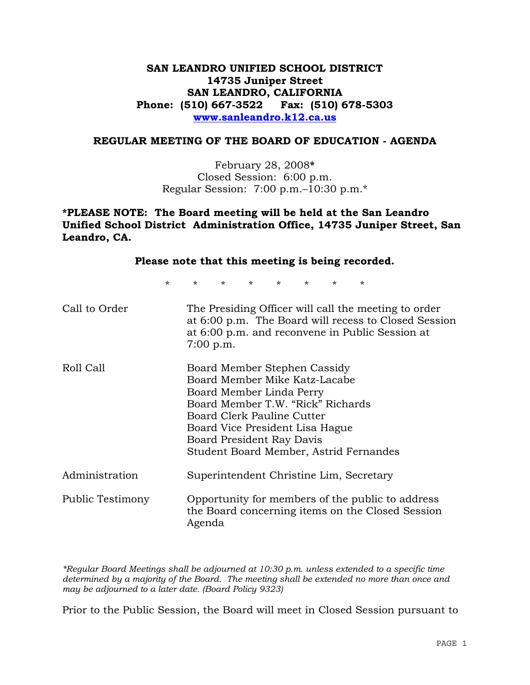# **SAN LEANDRO UNIFIED SCHOOL DISTRICT 14735 Juniper Street SAN LEANDRO, CALIFORNIA Phone: (510) 667-3522 Fax: (510) 678-5303 www.sanleandro.k12.ca.us**

#### **REGULAR MEETING OF THE BOARD OF EDUCATION - AGENDA**

February 28, 2008**\***  Closed Session: 6:00 p.m. Regular Session: 7:00 p.m.–10:30 p.m.\*

**\*PLEASE NOTE: The Board meeting will be held at the San Leandro Unified School District Administration Office, 14735 Juniper Street, San Leandro, CA.** 

| Please note that this meeting is being recorded. |                                                                                                                                                                                                                                                                        |  |
|--------------------------------------------------|------------------------------------------------------------------------------------------------------------------------------------------------------------------------------------------------------------------------------------------------------------------------|--|
| $\star$                                          | $\star$ and $\star$<br>$\star$ and $\star$<br>$\star$ and $\star$<br>$\star$ and $\star$<br>$\star$ and $\star$<br>$\star$<br>$\star$                                                                                                                                  |  |
| Call to Order                                    | The Presiding Officer will call the meeting to order<br>at 6:00 p.m. The Board will recess to Closed Session<br>at 6:00 p.m. and reconvene in Public Session at<br>$7:00$ p.m.                                                                                         |  |
| Roll Call                                        | Board Member Stephen Cassidy<br>Board Member Mike Katz-Lacabe<br>Board Member Linda Perry<br>Board Member T.W. "Rick" Richards<br>Board Clerk Pauline Cutter<br>Board Vice President Lisa Hague<br>Board President Ray Davis<br>Student Board Member, Astrid Fernandes |  |
| Administration                                   | Superintendent Christine Lim, Secretary                                                                                                                                                                                                                                |  |
| Public Testimony                                 | Opportunity for members of the public to address<br>the Board concerning items on the Closed Session<br>Agenda                                                                                                                                                         |  |

*\*Regular Board Meetings shall be adjourned at 10:30 p.m. unless extended to a specific time determined by a majority of the Board. The meeting shall be extended no more than once and may be adjourned to a later date. (Board Policy 9323)* 

Prior to the Public Session, the Board will meet in Closed Session pursuant to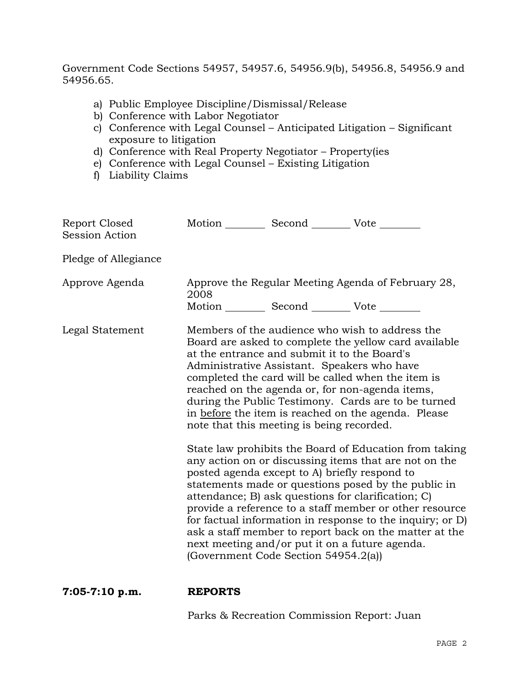Government Code Sections 54957, 54957.6, 54956.9(b), 54956.8, 54956.9 and 54956.65.

- a) Public Employee Discipline/Dismissal/Release
- b) Conference with Labor Negotiator
- c) Conference with Legal Counsel Anticipated Litigation Significant exposure to litigation
- d) Conference with Real Property Negotiator Property(ies
- e) Conference with Legal Counsel Existing Litigation
- f) Liability Claims

| Report Closed<br><b>Session Action</b> |      | Motion __________ Second __________ Vote ________                                                                                                                                                                                                                                   |                                                                                                                                                                                                                                                                                                                                                                                                                                                                                                                                                                                                                                                                                                                                                   |
|----------------------------------------|------|-------------------------------------------------------------------------------------------------------------------------------------------------------------------------------------------------------------------------------------------------------------------------------------|---------------------------------------------------------------------------------------------------------------------------------------------------------------------------------------------------------------------------------------------------------------------------------------------------------------------------------------------------------------------------------------------------------------------------------------------------------------------------------------------------------------------------------------------------------------------------------------------------------------------------------------------------------------------------------------------------------------------------------------------------|
| Pledge of Allegiance                   |      |                                                                                                                                                                                                                                                                                     |                                                                                                                                                                                                                                                                                                                                                                                                                                                                                                                                                                                                                                                                                                                                                   |
| Approve Agenda                         | 2008 | Motion __________ Second __________ Vote ________                                                                                                                                                                                                                                   | Approve the Regular Meeting Agenda of February 28,                                                                                                                                                                                                                                                                                                                                                                                                                                                                                                                                                                                                                                                                                                |
| Legal Statement                        |      | at the entrance and submit it to the Board's<br>Administrative Assistant. Speakers who have<br>note that this meeting is being recorded.<br>posted agenda except to A) briefly respond to<br>next meeting and/or put it on a future agenda.<br>(Government Code Section 54954.2(a)) | Members of the audience who wish to address the<br>Board are asked to complete the yellow card available<br>completed the card will be called when the item is<br>reached on the agenda or, for non-agenda items,<br>during the Public Testimony. Cards are to be turned<br>in before the item is reached on the agenda. Please<br>State law prohibits the Board of Education from taking<br>any action on or discussing items that are not on the<br>statements made or questions posed by the public in<br>attendance; B) ask questions for clarification; C)<br>provide a reference to a staff member or other resource<br>for factual information in response to the inquiry; or D)<br>ask a staff member to report back on the matter at the |

**7:05-7:10 p.m. REPORTS** 

Parks & Recreation Commission Report: Juan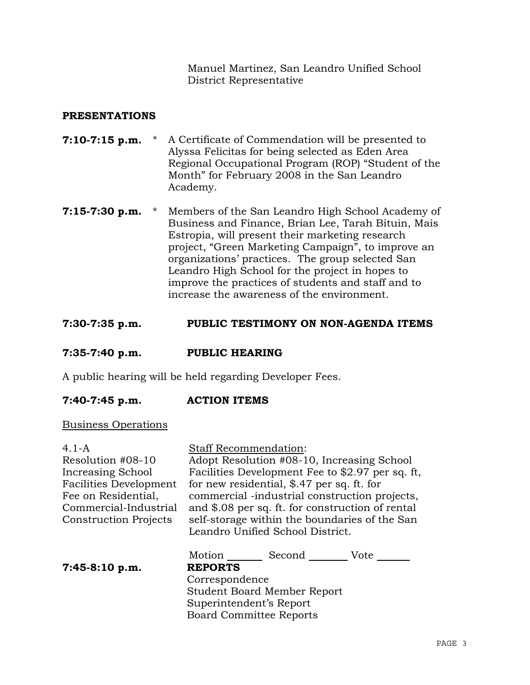Manuel Martinez, San Leandro Unified School District Representative

## **PRESENTATIONS**

- **7:10-7:15 p.m.** \* A Certificate of Commendation will be presented to Alyssa Felicitas for being selected as Eden Area Regional Occupational Program (ROP) "Student of the Month" for February 2008 in the San Leandro Academy.
- **7:15-7:30 p.m.** \* Members of the San Leandro High School Academy of Business and Finance, Brian Lee, Tarah Bituin, Mais Estropia, will present their marketing research project, "Green Marketing Campaign", to improve an organizations' practices. The group selected San Leandro High School for the project in hopes to improve the practices of students and staff and to increase the awareness of the environment.

### **7:30-7:35 p.m. PUBLIC TESTIMONY ON NON-AGENDA ITEMS**

#### **7:35-7:40 p.m. PUBLIC HEARING**

A public hearing will be held regarding Developer Fees.

### **7:40-7:45 p.m. ACTION ITEMS**

#### Business Operations

4.1-A Resolution #08-10 Increasing School Facilities Development Fee on Residential, Commercial-Industrial Construction Projects Staff Recommendation: Adopt Resolution #08-10, Increasing School Facilities Development Fee to \$2.97 per sq. ft, for new residential, \$.47 per sq. ft. for commercial -industrial construction projects, and \$.08 per sq. ft. for construction of rental self-storage within the boundaries of the San Leandro Unified School District. Motion Second Vote **7:45-8:10 p.m. REPORTS** Correspondence Student Board Member Report Superintendent's Report

Board Committee Reports

PAGE 3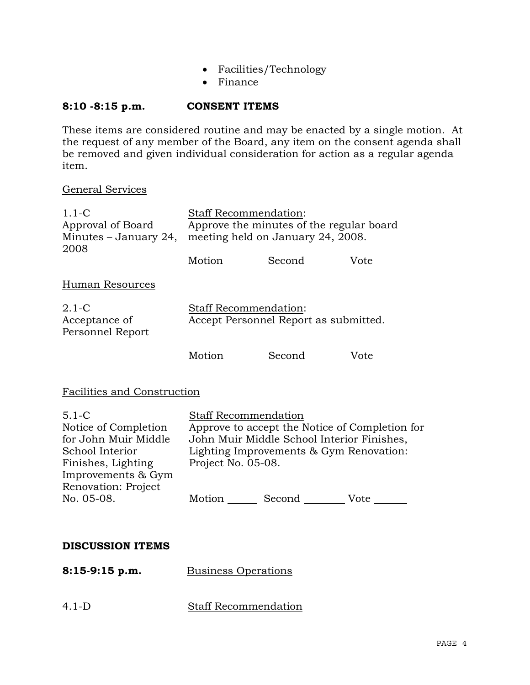- Facilities/Technology
- Finance

# **8:10 -8:15 p.m. CONSENT ITEMS**

These items are considered routine and may be enacted by a single motion. At the request of any member of the Board, any item on the consent agenda shall be removed and given individual consideration for action as a regular agenda item.

General Services

| $1.1 - C$<br>Approval of Board<br>Minutes $-$ January 24,<br>2008                                                                               | Staff Recommendation:<br>Approve the minutes of the regular board<br>meeting held on January 24, 2008.                                                                                       |  |  |
|-------------------------------------------------------------------------------------------------------------------------------------------------|----------------------------------------------------------------------------------------------------------------------------------------------------------------------------------------------|--|--|
|                                                                                                                                                 | Motion _________ Second __________ Vote _______                                                                                                                                              |  |  |
| Human Resources                                                                                                                                 |                                                                                                                                                                                              |  |  |
| $2.1-C$<br>Acceptance of<br>Personnel Report                                                                                                    | Staff Recommendation:<br>Accept Personnel Report as submitted.                                                                                                                               |  |  |
|                                                                                                                                                 | Motion _________ Second __________ Vote _______                                                                                                                                              |  |  |
| Facilities and Construction                                                                                                                     |                                                                                                                                                                                              |  |  |
| $5.1 - C$<br>Notice of Completion<br>for John Muir Middle<br>School Interior<br>Finishes, Lighting<br>Improvements & Gym<br>Renovation: Project | <b>Staff Recommendation</b><br>Approve to accept the Notice of Completion for<br>John Muir Middle School Interior Finishes,<br>Lighting Improvements & Gym Renovation:<br>Project No. 05-08. |  |  |
| No. 05-08.                                                                                                                                      | Motion ________ Second __________ Vote _______                                                                                                                                               |  |  |
|                                                                                                                                                 |                                                                                                                                                                                              |  |  |
| <b>DISCUSSION ITEMS</b>                                                                                                                         |                                                                                                                                                                                              |  |  |
| $8:15-9:15$ p.m.                                                                                                                                | <b>Business Operations</b>                                                                                                                                                                   |  |  |
| $4.1-D$                                                                                                                                         | <b>Staff Recommendation</b>                                                                                                                                                                  |  |  |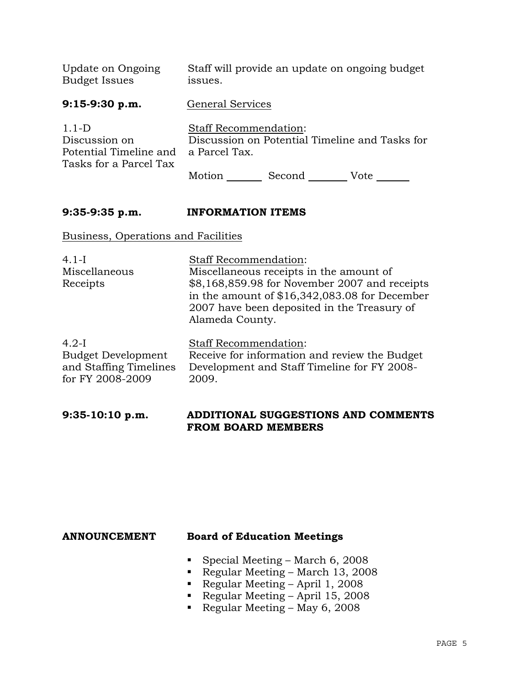| Update on Ongoing<br><b>Budget Issues</b>                                    | Staff will provide an update on ongoing budget<br>issues.                                       |
|------------------------------------------------------------------------------|-------------------------------------------------------------------------------------------------|
| $9:15-9:30 p.m.$                                                             | <b>General Services</b>                                                                         |
| $1.1-D$<br>Discussion on<br>Potential Timeline and<br>Tasks for a Parcel Tax | <b>Staff Recommendation:</b><br>Discussion on Potential Timeline and Tasks for<br>a Parcel Tax. |
|                                                                              | Second<br>Motion<br>Vote                                                                        |

# **9:35-9:35 p.m. INFORMATION ITEMS**

Business, Operations and Facilities

| $4.1-I$                   | <b>Staff Recommendation:</b>                                                                                                                                                                                 |
|---------------------------|--------------------------------------------------------------------------------------------------------------------------------------------------------------------------------------------------------------|
| Miscellaneous<br>Receipts | Miscellaneous receipts in the amount of<br>\$8,168,859.98 for November 2007 and receipts<br>in the amount of $$16,342,083.08$ for December<br>2007 have been deposited in the Treasury of<br>Alameda County. |
|                           |                                                                                                                                                                                                              |

| $4.2-I$                   | <b>Staff Recommendation:</b>                                       |
|---------------------------|--------------------------------------------------------------------|
| <b>Budget Development</b> | Receive for information and review the Budget                      |
|                           | and Staffing Timelines Development and Staff Timeline for FY 2008- |
| for FY 2008-2009          | 2009.                                                              |

## **9:35-10:10 p.m. ADDITIONAL SUGGESTIONS AND COMMENTS FROM BOARD MEMBERS**

## **ANNOUNCEMENT Board of Education Meetings**

- Special Meeting March 6, 2008
- Regular Meeting March 13, 2008
- Regular Meeting April 1, 2008
- Regular Meeting April 15, 2008
- Regular Meeting May 6, 2008